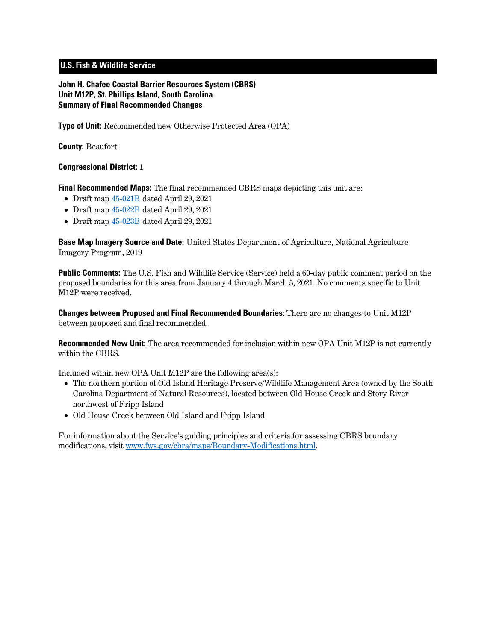## **U.S. Fish & Wildlife Service**

**John H. Chafee Coastal Barrier Resources System (CBRS) Unit M12P, St. Phillips Island, South Carolina Summary of Final Recommended Changes**

**Type of Unit:** Recommended new Otherwise Protected Area (OPA)

**County:** Beaufort

## **Congressional District:** 1

**Final Recommended Maps:** The final recommended CBRS maps depicting this unit are:

- Draft map [45-021B](https://www.fws.gov/cbra/projects/technical-corrections/Final-Recommended-45-021B.pdf) dated April 29, 2021
- Draft map [45-022B](https://www.fws.gov/cbra/projects/technical-corrections/Final-Recommended-45-022B.pdf) dated April 29, 2021
- Draft map [45-023B](https://www.fws.gov/cbra/projects/technical-corrections/Final-Recommended-45-023B.pdf) dated April 29, 2021

**Base Map Imagery Source and Date:** United States Department of Agriculture, National Agriculture Imagery Program, 2019

**Public Comments:** The U.S. Fish and Wildlife Service (Service) held a 60-day public comment period on the proposed boundaries for this area from January 4 through March 5, 2021. No comments specific to Unit M12P were received.

**Changes between Proposed and Final Recommended Boundaries:** There are no changes to Unit M12P between proposed and final recommended.

**Recommended New Unit:** The area recommended for inclusion within new OPA Unit M12P is not currently within the CBRS.

Included within new OPA Unit M12P are the following area(s):

- The northern portion of Old Island Heritage Preserve/Wildlife Management Area (owned by the South Carolina Department of Natural Resources), located between Old House Creek and Story River northwest of Fripp Island
- Old House Creek between Old Island and Fripp Island

For information about the Service's guiding principles and criteria for assessing CBRS boundary modifications, visit [www.fws.gov/cbra/maps/Boundary-Modifications.html.](https://www.fws.gov/cbra/maps/Boundary-Modifications.html)